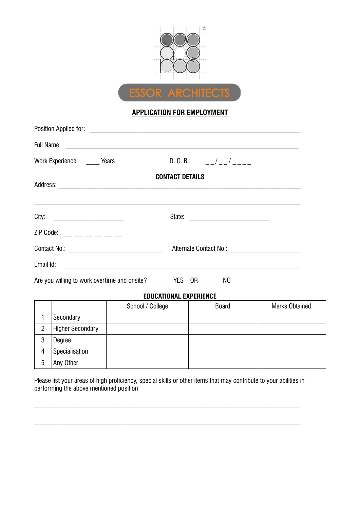

## APPLICATION FOR EMPLOYMENT

| Full Name:<br>The Contract of the Contract of the Contract of the Contract of the Contract of the Contract of the Contract of the Contract of the Contract of the Contract of the Contract of the Contract of the Contract of th |  |                               |                                      |              |  |
|----------------------------------------------------------------------------------------------------------------------------------------------------------------------------------------------------------------------------------|--|-------------------------------|--------------------------------------|--------------|--|
| Work Experience: _____ Years                                                                                                                                                                                                     |  |                               | D.O.B.: $-/-/-/-$                    |              |  |
| Address: Andreas Address: Address: Address: Address: Address: Address: Address: Address: Address: Address: Address: Address: Address: Address: Address: Address: Address: Address: Address: Address: Address: Address: Address   |  | <b>CONTACT DETAILS</b>        |                                      |              |  |
|                                                                                                                                                                                                                                  |  |                               | State:                               |              |  |
|                                                                                                                                                                                                                                  |  |                               |                                      |              |  |
|                                                                                                                                                                                                                                  |  |                               | Alternate Contact No.: No. 2008 2014 |              |  |
|                                                                                                                                                                                                                                  |  |                               |                                      |              |  |
| Are you willing to work overtime and onsite? VES OR NO                                                                                                                                                                           |  |                               |                                      |              |  |
|                                                                                                                                                                                                                                  |  | <b>EDUCATIONAL EXPERIENCE</b> |                                      |              |  |
|                                                                                                                                                                                                                                  |  | School / College              | <b>Board</b>                         | Marks Obtain |  |

|    |                         | School / College | <b>Board</b> | <b>Marks Obtained</b> |
|----|-------------------------|------------------|--------------|-----------------------|
|    | Secondary               |                  |              |                       |
| ּח | <b>Higher Secondary</b> |                  |              |                       |
| 3  | Degree                  |                  |              |                       |
| 4  | Specialisation          |                  |              |                       |
| 5  | Any Other               |                  |              |                       |

 $\overline{\phantom{0}}$ 

Please list your areas of high proficiency, special skills or other items that may contribute to your abilities in performing the above mentioned position